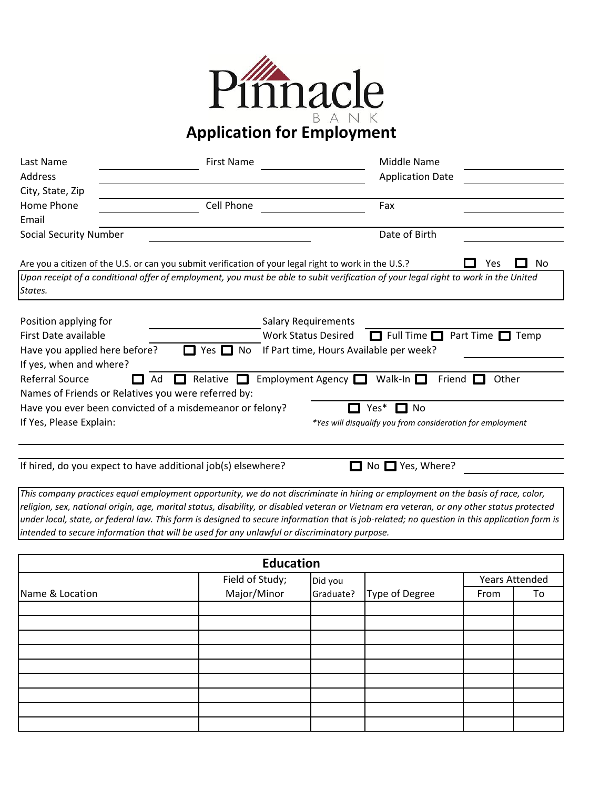

**Application for Employment**

| Last Name                                                | <b>First Name</b>                                                                                                                   |                                         | Middle Name                                                |                          |
|----------------------------------------------------------|-------------------------------------------------------------------------------------------------------------------------------------|-----------------------------------------|------------------------------------------------------------|--------------------------|
| Address                                                  |                                                                                                                                     |                                         | <b>Application Date</b>                                    |                          |
| City, State, Zip                                         |                                                                                                                                     |                                         |                                                            |                          |
| Home Phone                                               | Cell Phone                                                                                                                          |                                         | Fax                                                        |                          |
| Email                                                    |                                                                                                                                     |                                         |                                                            |                          |
| <b>Social Security Number</b>                            |                                                                                                                                     |                                         | Date of Birth                                              |                          |
|                                                          | Are you a citizen of the U.S. or can you submit verification of your legal right to work in the U.S.?                               |                                         |                                                            | No<br>Yes                |
| States.                                                  | Upon receipt of a conditional offer of employment, you must be able to subit verification of your legal right to work in the United |                                         |                                                            |                          |
| Position applying for                                    |                                                                                                                                     | <b>Salary Requirements</b>              |                                                            |                          |
| First Date available                                     |                                                                                                                                     | <b>Work Status Desired</b>              | $\Box$ Full Time $\Box$                                    | Part Time $\Box$<br>Temp |
| Have you applied here before?                            | $\Box$ Yes $\Box$ No                                                                                                                | If Part time, Hours Available per week? |                                                            |                          |
| If yes, when and where?                                  |                                                                                                                                     |                                         |                                                            |                          |
| Referral Source<br>Ad                                    | Relative                                                                                                                            | Employment Agency $\Box$                | Walk-In $\Box$<br>Friend                                   | Other                    |
| Names of Friends or Relatives you were referred by:      |                                                                                                                                     |                                         |                                                            |                          |
| Have you ever been convicted of a misdemeanor or felony? |                                                                                                                                     | Yes*                                    | $\square$ No                                               |                          |
| If Yes, Please Explain:                                  |                                                                                                                                     |                                         | *Yes will disqualify you from consideration for employment |                          |
|                                                          |                                                                                                                                     |                                         |                                                            |                          |
|                                                          |                                                                                                                                     |                                         |                                                            |                          |

If hired, do you expect to have additional job(s) elsewhere?

 $\Box$  No  $\Box$  Yes, Where?

*This company practices equal employment opportunity, we do not discriminate in hiring or employment on the basis of race, color, religion, sex, national origin, age, marital status, disability, or disabled veteran or Vietnam era veteran, or any other status protected under local, state, or federal law. This form is designed to secure information that is job-related; no question in this application form is intended to secure information that will be used for any unlawful or discriminatory purpose.*

| <b>Education</b> |                 |           |                |      |                       |
|------------------|-----------------|-----------|----------------|------|-----------------------|
|                  | Field of Study; | Did you   |                |      | <b>Years Attended</b> |
| Name & Location  | Major/Minor     | Graduate? | Type of Degree | From | To                    |
|                  |                 |           |                |      |                       |
|                  |                 |           |                |      |                       |
|                  |                 |           |                |      |                       |
|                  |                 |           |                |      |                       |
|                  |                 |           |                |      |                       |
|                  |                 |           |                |      |                       |
|                  |                 |           |                |      |                       |
|                  |                 |           |                |      |                       |
|                  |                 |           |                |      |                       |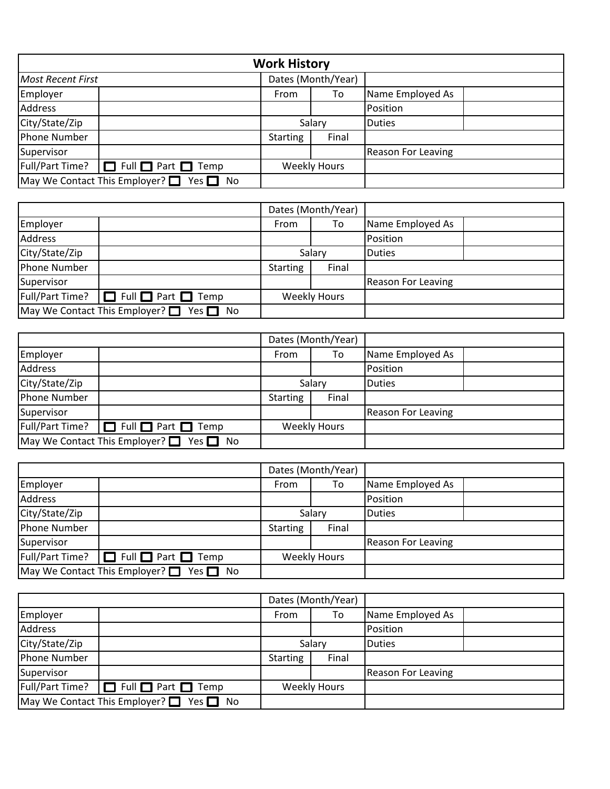| <b>Work History</b>                                    |  |                 |                     |                           |  |
|--------------------------------------------------------|--|-----------------|---------------------|---------------------------|--|
| <b>Most Recent First</b>                               |  |                 | Dates (Month/Year)  |                           |  |
| Employer                                               |  | From            | To                  | Name Employed As          |  |
| <b>Address</b>                                         |  |                 |                     | Position                  |  |
| City/State/Zip                                         |  | Salary          |                     | <b>Duties</b>             |  |
| Phone Number                                           |  | <b>Starting</b> | Final               |                           |  |
| Supervisor                                             |  |                 |                     | <b>Reason For Leaving</b> |  |
| Full/Part Time?<br>$\Box$ Full $\Box$ Part $\Box$ Temp |  |                 | <b>Weekly Hours</b> |                           |  |
| May We Contact This Employer? $\Box$ Yes $\Box$        |  |                 |                     |                           |  |

|                                                                               |  |                 | Dates (Month/Year) |                           |  |
|-------------------------------------------------------------------------------|--|-----------------|--------------------|---------------------------|--|
| Employer                                                                      |  | From            | To                 | Name Employed As          |  |
| Address                                                                       |  |                 |                    | Position                  |  |
| City/State/Zip                                                                |  |                 | Salary             | <b>Duties</b>             |  |
| Phone Number                                                                  |  | <b>Starting</b> | Final              |                           |  |
| Supervisor                                                                    |  |                 |                    | <b>Reason For Leaving</b> |  |
| Full/Part Time?<br>$\Box$ Full $\Box$ Part $\Box$ Temp<br><b>Weekly Hours</b> |  |                 |                    |                           |  |
| May We Contact This Employer? $\Box$ Yes $\Box$                               |  |                 |                    |                           |  |

|                                                 |                                     |                 | Dates (Month/Year)  |                           |  |
|-------------------------------------------------|-------------------------------------|-----------------|---------------------|---------------------------|--|
| Employer                                        |                                     | From            | To                  | Name Employed As          |  |
| Address                                         |                                     |                 |                     | Position                  |  |
| City/State/Zip                                  |                                     |                 | Salary              | <b>Duties</b>             |  |
| Phone Number                                    |                                     | <b>Starting</b> | Final               |                           |  |
| Supervisor                                      |                                     |                 |                     | <b>Reason For Leaving</b> |  |
| Full/Part Time?                                 | $\Box$ Full $\Box$ Part $\Box$ Temp |                 | <b>Weekly Hours</b> |                           |  |
| May We Contact This Employer? $\Box$ Yes $\Box$ |                                     |                 |                     |                           |  |
|                                                 |                                     |                 |                     |                           |  |

|                                                 |                                     |                     | Dates (Month/Year) |                           |  |
|-------------------------------------------------|-------------------------------------|---------------------|--------------------|---------------------------|--|
| Employer                                        |                                     | From                | To                 | Name Employed As          |  |
| Address                                         |                                     |                     |                    | Position                  |  |
| City/State/Zip                                  |                                     |                     | Salary             | <b>IDuties</b>            |  |
| Phone Number                                    |                                     | <b>Starting</b>     | Final              |                           |  |
| Supervisor                                      |                                     |                     |                    | <b>Reason For Leaving</b> |  |
| Full/Part Time?                                 | $\Box$ Full $\Box$ Part $\Box$ Temp | <b>Weekly Hours</b> |                    |                           |  |
| May We Contact This Employer? $\Box$ Yes $\Box$ |                                     |                     |                    |                           |  |

|                                                                                            |  |                 | Dates (Month/Year) |                    |  |
|--------------------------------------------------------------------------------------------|--|-----------------|--------------------|--------------------|--|
| Employer                                                                                   |  | From            | To                 | Name Employed As   |  |
| Address                                                                                    |  |                 |                    | Position           |  |
| City/State/Zip                                                                             |  |                 | Salary             | Duties             |  |
| Phone Number                                                                               |  | <b>Starting</b> | Final              |                    |  |
| Supervisor                                                                                 |  |                 |                    | Reason For Leaving |  |
| $\lceil \text{Full/Part Time?} \rceil$ Full $\Box$ Part $\Box$ Temp<br><b>Weekly Hours</b> |  |                 |                    |                    |  |
| May We Contact This Employer? $\Box$ Yes $\Box$ No                                         |  |                 |                    |                    |  |